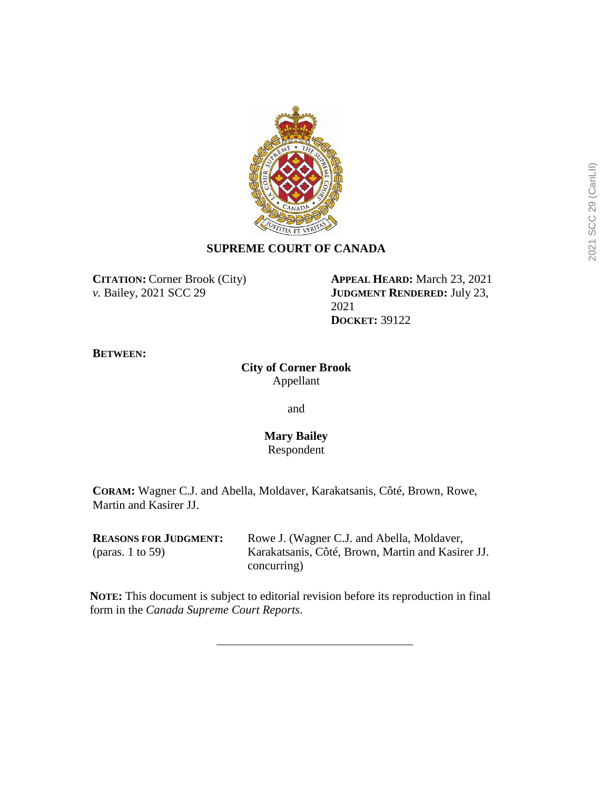

# **SUPREME COURT OF CANADA**

**CITATION:** Corner Brook (City) *v.* Bailey, 2021 SCC 29

**APPEAL HEARD:** March 23, 2021 **JUDGMENT RENDERED:** July 23, 2021 **DOCKET:** 39122

**BETWEEN:**

**City of Corner Brook** Appellant

and

### **Mary Bailey** Respondent

**CORAM:** Wagner C.J. and Abella, Moldaver, Karakatsanis, Côté, Brown, Rowe, Martin and Kasirer JJ.

| <b>REASONS FOR JUDGMENT:</b> | Rowe J. (Wagner C.J. and Abella, Moldaver,        |
|------------------------------|---------------------------------------------------|
| (paras. 1 to 59)             | Karakatsanis, Côté, Brown, Martin and Kasirer JJ. |
|                              | concurring)                                       |

**NOTE:** This document is subject to editorial revision before its reproduction in final form in the *Canada Supreme Court Reports*.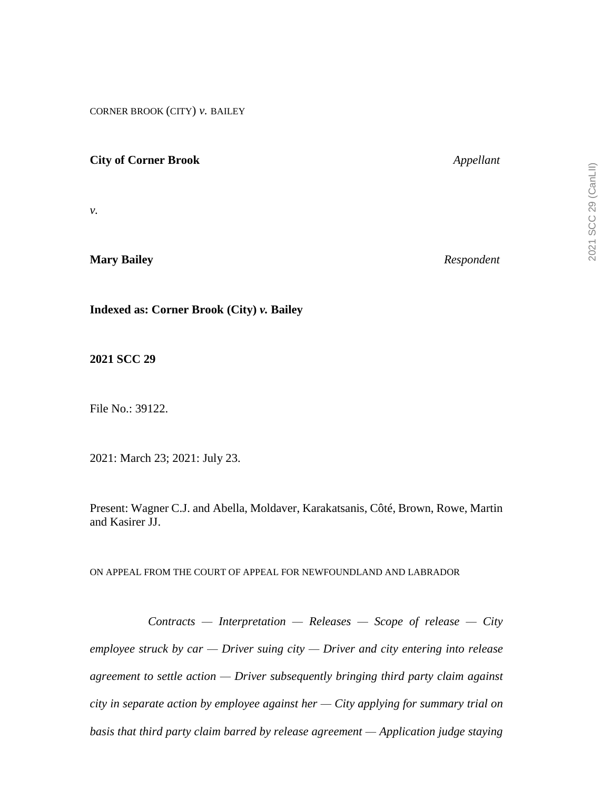2021 SCC 29 (CanLII) 2021 SCC 29 (CanLII)

CORNER BROOK (CITY) *v.* BAILEY

# **City of Corner Brook** *Appellant*

*v.*

**Mary Bailey** *Respondent*

**Indexed as: Corner Brook (City)** *v.* **Bailey**

**2021 SCC 29**

File No.: 39122.

2021: March 23; 2021: July 23.

Present: Wagner C.J. and Abella, Moldaver, Karakatsanis, Côté, Brown, Rowe, Martin and Kasirer JJ.

ON APPEAL FROM THE COURT OF APPEAL FOR NEWFOUNDLAND AND LABRADOR

*Contracts — Interpretation — Releases — Scope of release — City employee struck by car — Driver suing city — Driver and city entering into release agreement to settle action — Driver subsequently bringing third party claim against city in separate action by employee against her — City applying for summary trial on basis that third party claim barred by release agreement — Application judge staying*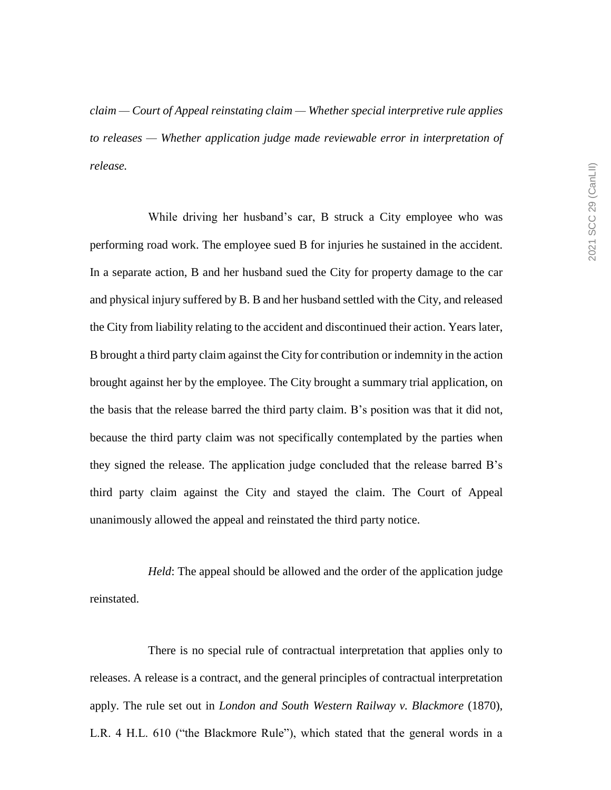*claim — Court of Appeal reinstating claim — Whether special interpretive rule applies to releases — Whether application judge made reviewable error in interpretation of release.*

While driving her husband's car, B struck a City employee who was performing road work. The employee sued B for injuries he sustained in the accident. In a separate action, B and her husband sued the City for property damage to the car and physical injury suffered by B. B and her husband settled with the City, and released the City from liability relating to the accident and discontinued their action. Years later, B brought a third party claim against the City for contribution or indemnity in the action brought against her by the employee. The City brought a summary trial application, on the basis that the release barred the third party claim. B's position was that it did not, because the third party claim was not specifically contemplated by the parties when they signed the release. The application judge concluded that the release barred B's third party claim against the City and stayed the claim. The Court of Appeal unanimously allowed the appeal and reinstated the third party notice.

*Held*: The appeal should be allowed and the order of the application judge reinstated.

There is no special rule of contractual interpretation that applies only to releases. A release is a contract, and the general principles of contractual interpretation apply. The rule set out in *London and South Western Railway v. Blackmore* (1870), L.R. 4 H.L. 610 ("the Blackmore Rule"), which stated that the general words in a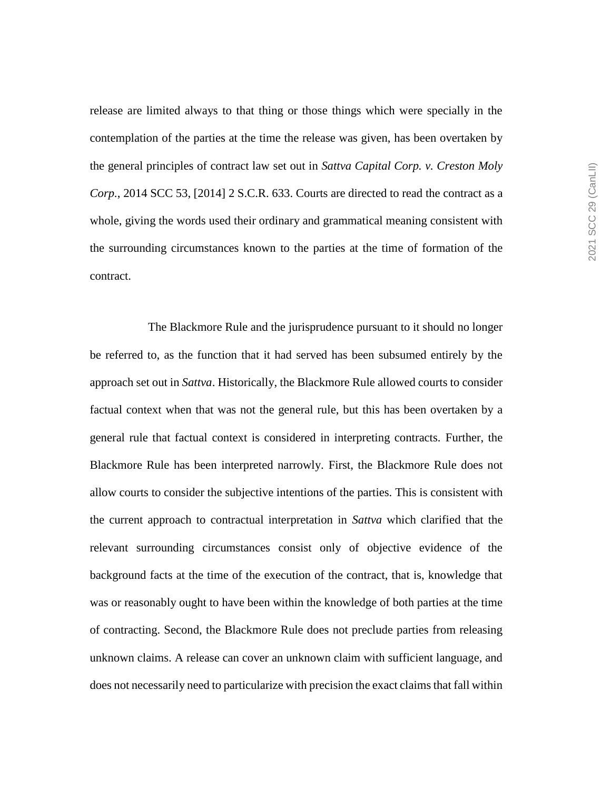release are limited always to that thing or those things which were specially in the contemplation of the parties at the time the release was given, has been overtaken by the general principles of contract law set out in *Sattva Capital Corp. v. Creston Moly Corp.*, 2014 SCC 53, [2014] 2 S.C.R. 633. Courts are directed to read the contract as a whole, giving the words used their ordinary and grammatical meaning consistent with the surrounding circumstances known to the parties at the time of formation of the contract.

The Blackmore Rule and the jurisprudence pursuant to it should no longer be referred to, as the function that it had served has been subsumed entirely by the approach set out in *Sattva*. Historically, the Blackmore Rule allowed courts to consider factual context when that was not the general rule, but this has been overtaken by a general rule that factual context is considered in interpreting contracts. Further, the Blackmore Rule has been interpreted narrowly. First, the Blackmore Rule does not allow courts to consider the subjective intentions of the parties. This is consistent with the current approach to contractual interpretation in *Sattva* which clarified that the relevant surrounding circumstances consist only of objective evidence of the background facts at the time of the execution of the contract, that is, knowledge that was or reasonably ought to have been within the knowledge of both parties at the time of contracting. Second, the Blackmore Rule does not preclude parties from releasing unknown claims. A release can cover an unknown claim with sufficient language, and does not necessarily need to particularize with precision the exact claims that fall within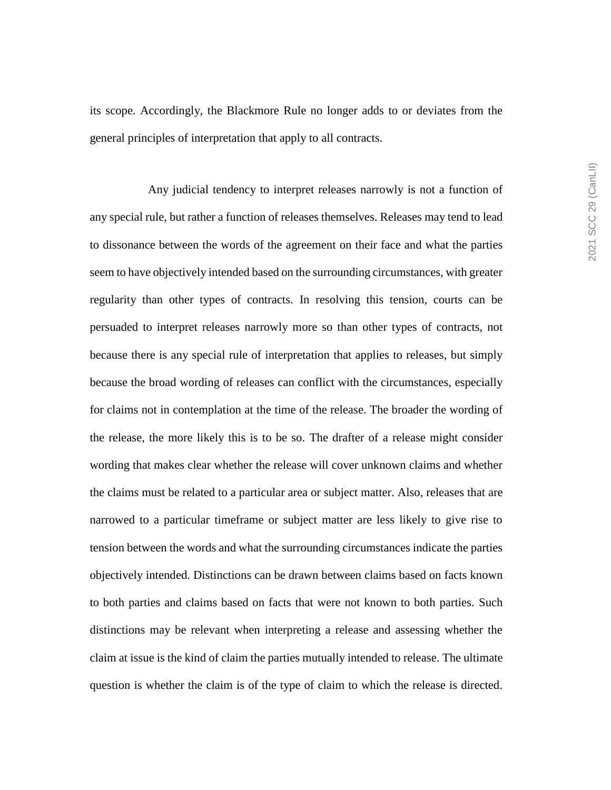its scope. Accordingly, the Blackmore Rule no longer adds to or deviates from the general principles of interpretation that apply to all contracts.

Any judicial tendency to interpret releases narrowly is not a function of any special rule, but rather a function of releases themselves. Releases may tend to lead to dissonance between the words of the agreement on their face and what the parties seem to have objectively intended based on the surrounding circumstances, with greater regularity than other types of contracts. In resolving this tension, courts can be persuaded to interpret releases narrowly more so than other types of contracts, not because there is any special rule of interpretation that applies to releases, but simply because the broad wording of releases can conflict with the circumstances, especially for claims not in contemplation at the time of the release. The broader the wording of the release, the more likely this is to be so. The drafter of a release might consider wording that makes clear whether the release will cover unknown claims and whether the claims must be related to a particular area or subject matter. Also, releases that are narrowed to a particular timeframe or subject matter are less likely to give rise to tension between the words and what the surrounding circumstances indicate the parties objectively intended. Distinctions can be drawn between claims based on facts known to both parties and claims based on facts that were not known to both parties. Such distinctions may be relevant when interpreting a release and assessing whether the claim at issue is the kind of claim the parties mutually intended to release. The ultimate question is whether the claim is of the type of claim to which the release is directed.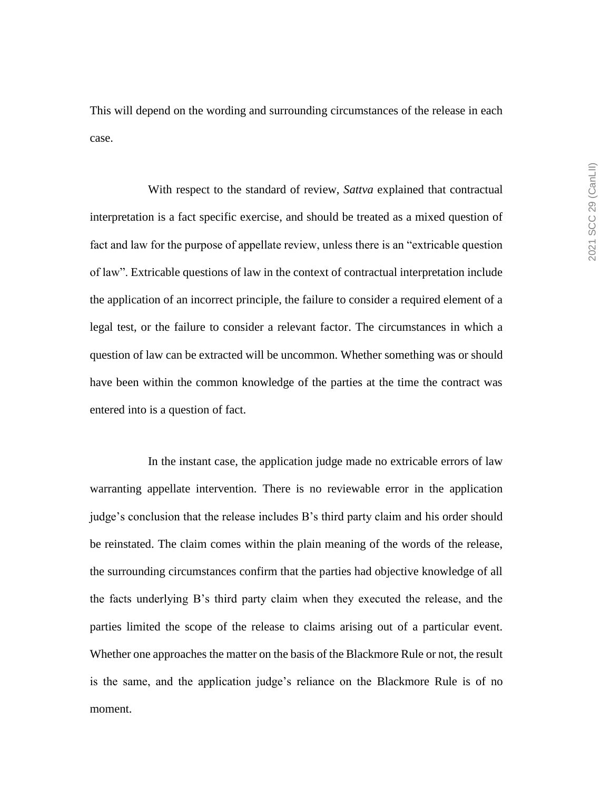This will depend on the wording and surrounding circumstances of the release in each case.

With respect to the standard of review, *Sattva* explained that contractual interpretation is a fact specific exercise, and should be treated as a mixed question of fact and law for the purpose of appellate review, unless there is an "extricable question of law". Extricable questions of law in the context of contractual interpretation include the application of an incorrect principle, the failure to consider a required element of a legal test, or the failure to consider a relevant factor. The circumstances in which a question of law can be extracted will be uncommon. Whether something was or should have been within the common knowledge of the parties at the time the contract was entered into is a question of fact.

In the instant case, the application judge made no extricable errors of law warranting appellate intervention. There is no reviewable error in the application judge's conclusion that the release includes B's third party claim and his order should be reinstated. The claim comes within the plain meaning of the words of the release, the surrounding circumstances confirm that the parties had objective knowledge of all the facts underlying B's third party claim when they executed the release, and the parties limited the scope of the release to claims arising out of a particular event. Whether one approaches the matter on the basis of the Blackmore Rule or not, the result is the same, and the application judge's reliance on the Blackmore Rule is of no moment.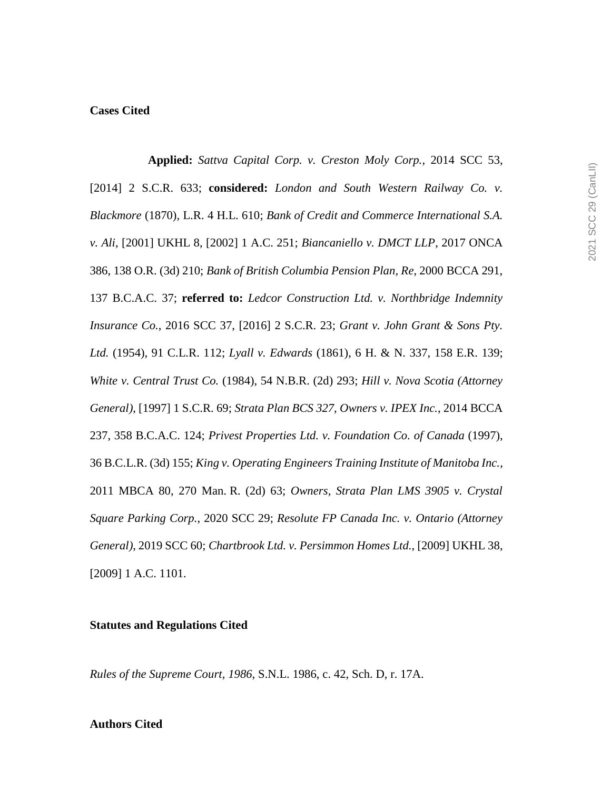### **Cases Cited**

**Applied:** *Sattva Capital Corp. v. Creston Moly Corp.*, 2014 SCC 53, [2014] 2 S.C.R. 633; **considered:** *London and South Western Railway Co. v. Blackmore* (1870), L.R. 4 H.L. 610; *Bank of Credit and Commerce International S.A. v. Ali*, [2001] UKHL 8, [2002] 1 A.C. 251; *Biancaniello v. DMCT LLP*, 2017 ONCA 386, 138 O.R. (3d) 210; *Bank of British Columbia Pension Plan, Re*, 2000 BCCA 291, 137 B.C.A.C. 37; **referred to:** *Ledcor Construction Ltd. v. Northbridge Indemnity Insurance Co.*, 2016 SCC 37, [2016] 2 S.C.R. 23; *Grant v. John Grant & Sons Pty. Ltd.* (1954), 91 C.L.R. 112; *Lyall v. Edwards* (1861), 6 H. & N. 337, 158 E.R. 139; *White v. Central Trust Co.* (1984), 54 N.B.R. (2d) 293; *Hill v. Nova Scotia (Attorney General)*, [1997] 1 S.C.R. 69; *Strata Plan BCS 327, Owners v. IPEX Inc.*, 2014 BCCA 237, 358 B.C.A.C. 124; *Privest Properties Ltd. v. Foundation Co. of Canada* (1997), 36 B.C.L.R. (3d) 155; *King v. Operating Engineers Training Institute of Manitoba Inc.*, 2011 MBCA 80, 270 Man. R. (2d) 63; *Owners, Strata Plan LMS 3905 v. Crystal Square Parking Corp.*, 2020 SCC 29; *Resolute FP Canada Inc. v. Ontario (Attorney General)*, 2019 SCC 60; *Chartbrook Ltd. v. Persimmon Homes Ltd.*, [2009] UKHL 38, [2009] 1 A.C. 1101.

#### **Statutes and Regulations Cited**

*Rules of the Supreme Court, 1986*, S.N.L. 1986, c. 42, Sch. D, r. 17A.

#### **Authors Cited**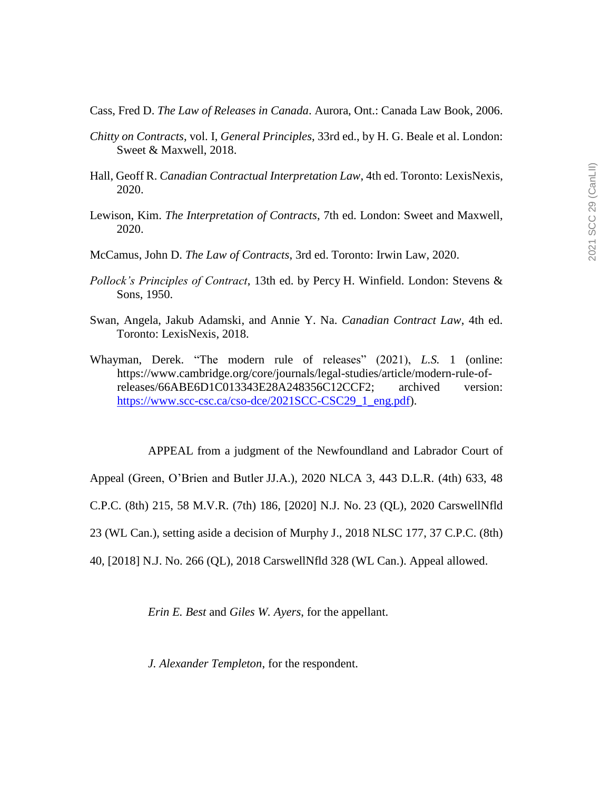Cass, Fred D. *The Law of Releases in Canada*. Aurora, Ont.: Canada Law Book, 2006.

- *Chitty on Contracts*, vol. I, *General Principles*, 33rd ed., by H. G. Beale et al. London: Sweet & Maxwell, 2018.
- Hall, Geoff R. *Canadian Contractual Interpretation Law*, 4th ed. Toronto: LexisNexis, 2020.
- Lewison, Kim. *The Interpretation of Contracts*, 7th ed. London: Sweet and Maxwell, 2020.
- McCamus, John D. *The Law of Contracts*, 3rd ed. Toronto: Irwin Law, 2020.
- *Pollock's Principles of Contract*, 13th ed. by Percy H. Winfield. London: Stevens & Sons, 1950.
- Swan, Angela, Jakub Adamski, and Annie Y. Na. *Canadian Contract Law*, 4th ed. Toronto: LexisNexis, 2018.
- Whayman, Derek. "The modern rule of releases" (2021), *L.S.* 1 (online: https://www.cambridge.org/core/journals/legal-studies/article/modern-rule-ofreleases/66ABE6D1C013343E28A248356C12CCF2; archived version: [https://www.scc-csc.ca/cso-dce/2021SCC-CSC29\\_1\\_eng.pdf\)](https://www.scc-csc.ca/cso-dce/2021SCC-CSC29_1_eng.pdf).

APPEAL from a judgment of the Newfoundland and Labrador Court of

Appeal (Green, O'Brien and Butler JJ.A.), 2020 NLCA 3, 443 D.L.R. (4th) 633, 48

C.P.C. (8th) 215, 58 M.V.R. (7th) 186, [2020] N.J. No. 23 (QL), 2020 CarswellNfld

23 (WL Can.), setting aside a decision of Murphy J., 2018 NLSC 177, 37 C.P.C. (8th)

40, [2018] N.J. No. 266 (QL), 2018 CarswellNfld 328 (WL Can.). Appeal allowed.

*Erin E. Best* and *Giles W. Ayers*, for the appellant.

*J. Alexander Templeton*, for the respondent.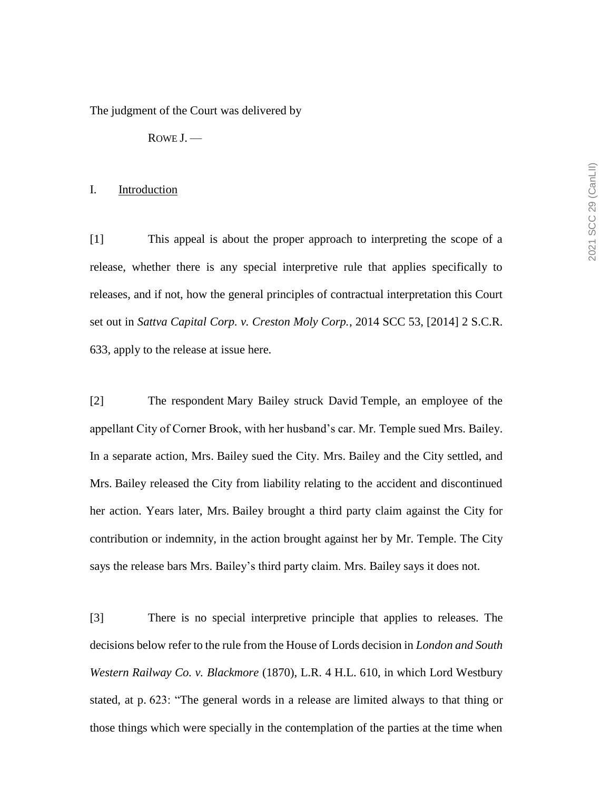The judgment of the Court was delivered by

ROWE J. —

#### I. Introduction

[1] This appeal is about the proper approach to interpreting the scope of a release, whether there is any special interpretive rule that applies specifically to releases, and if not, how the general principles of contractual interpretation this Court set out in *Sattva Capital Corp. v. Creston Moly Corp.*, 2014 SCC 53, [2014] 2 S.C.R. 633, apply to the release at issue here.

[2] The respondent Mary Bailey struck David Temple, an employee of the appellant City of Corner Brook, with her husband's car. Mr. Temple sued Mrs. Bailey. In a separate action, Mrs. Bailey sued the City. Mrs. Bailey and the City settled, and Mrs. Bailey released the City from liability relating to the accident and discontinued her action. Years later, Mrs. Bailey brought a third party claim against the City for contribution or indemnity, in the action brought against her by Mr. Temple. The City says the release bars Mrs. Bailey's third party claim. Mrs. Bailey says it does not.

[3] There is no special interpretive principle that applies to releases. The decisions below refer to the rule from the House of Lords decision in *London and South Western Railway Co. v. Blackmore* (1870), L.R. 4 H.L. 610, in which Lord Westbury stated, at p. 623: "The general words in a release are limited always to that thing or those things which were specially in the contemplation of the parties at the time when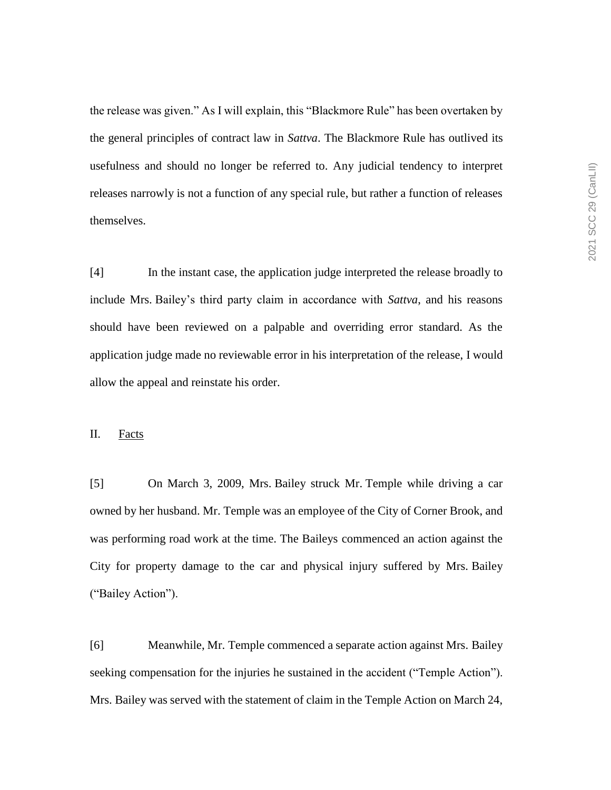the release was given." As I will explain, this "Blackmore Rule" has been overtaken by the general principles of contract law in *Sattva*. The Blackmore Rule has outlived its usefulness and should no longer be referred to. Any judicial tendency to interpret releases narrowly is not a function of any special rule, but rather a function of releases themselves.

[4] In the instant case, the application judge interpreted the release broadly to include Mrs. Bailey's third party claim in accordance with *Sattva*, and his reasons should have been reviewed on a palpable and overriding error standard. As the application judge made no reviewable error in his interpretation of the release, I would allow the appeal and reinstate his order.

## II. Facts

[5] On March 3, 2009, Mrs. Bailey struck Mr. Temple while driving a car owned by her husband. Mr. Temple was an employee of the City of Corner Brook, and was performing road work at the time. The Baileys commenced an action against the City for property damage to the car and physical injury suffered by Mrs. Bailey ("Bailey Action").

[6] Meanwhile, Mr. Temple commenced a separate action against Mrs. Bailey seeking compensation for the injuries he sustained in the accident ("Temple Action"). Mrs. Bailey was served with the statement of claim in the Temple Action on March 24,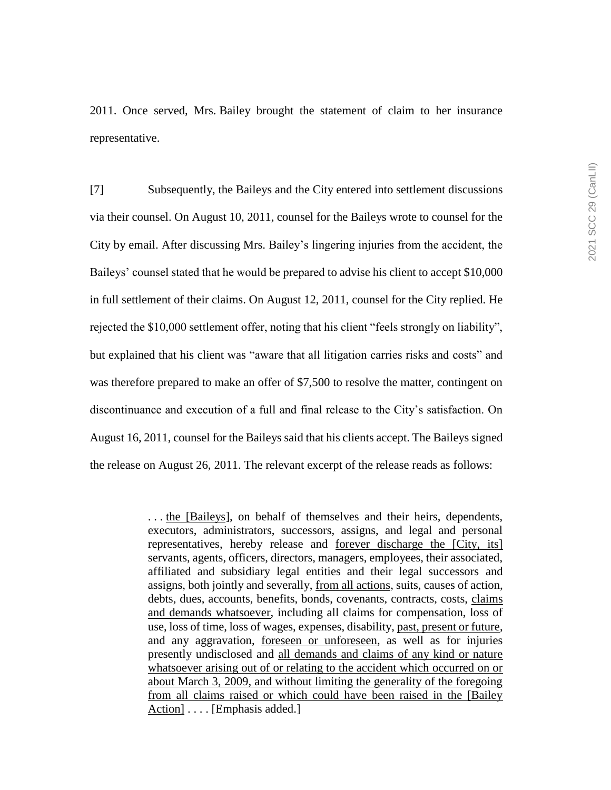2011. Once served, Mrs. Bailey brought the statement of claim to her insurance representative.

[7] Subsequently, the Baileys and the City entered into settlement discussions via their counsel. On August 10, 2011, counsel for the Baileys wrote to counsel for the City by email. After discussing Mrs. Bailey's lingering injuries from the accident, the Baileys' counsel stated that he would be prepared to advise his client to accept \$10,000 in full settlement of their claims. On August 12, 2011, counsel for the City replied. He rejected the \$10,000 settlement offer, noting that his client "feels strongly on liability", but explained that his client was "aware that all litigation carries risks and costs" and was therefore prepared to make an offer of \$7,500 to resolve the matter, contingent on discontinuance and execution of a full and final release to the City's satisfaction. On August 16, 2011, counsel for the Baileys said that his clients accept. The Baileys signed the release on August 26, 2011. The relevant excerpt of the release reads as follows:

> . . . the [Baileys], on behalf of themselves and their heirs, dependents, executors, administrators, successors, assigns, and legal and personal representatives, hereby release and forever discharge the [City, its] servants, agents, officers, directors, managers, employees, their associated, affiliated and subsidiary legal entities and their legal successors and assigns, both jointly and severally, from all actions, suits, causes of action, debts, dues, accounts, benefits, bonds, covenants, contracts, costs, claims and demands whatsoever, including all claims for compensation, loss of use, loss of time, loss of wages, expenses, disability, past, present or future, and any aggravation, foreseen or unforeseen, as well as for injuries presently undisclosed and all demands and claims of any kind or nature whatsoever arising out of or relating to the accident which occurred on or about March 3, 2009, and without limiting the generality of the foregoing from all claims raised or which could have been raised in the [Bailey Action] .... [Emphasis added.]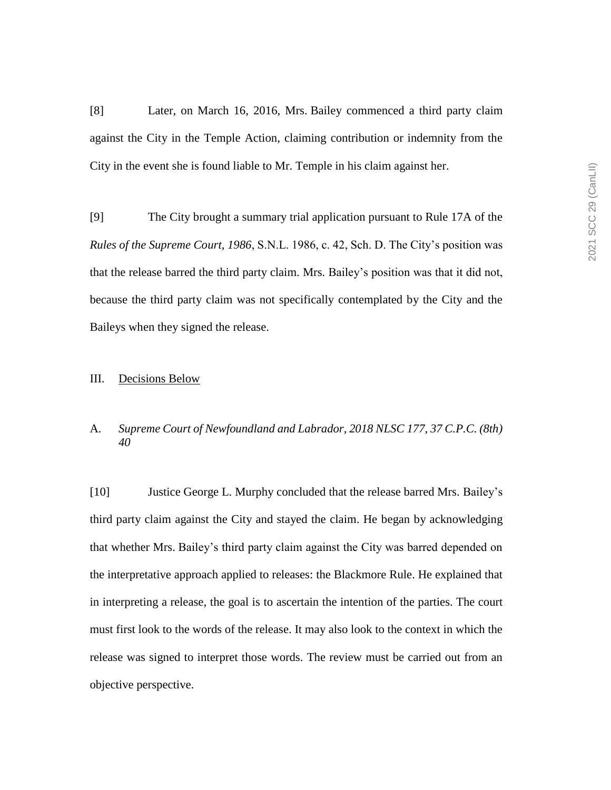[8] Later, on March 16, 2016, Mrs. Bailey commenced a third party claim against the City in the Temple Action, claiming contribution or indemnity from the City in the event she is found liable to Mr. Temple in his claim against her.

[9] The City brought a summary trial application pursuant to Rule 17A of the *Rules of the Supreme Court, 1986*, S.N.L. 1986, c. 42, Sch. D. The City's position was that the release barred the third party claim. Mrs. Bailey's position was that it did not, because the third party claim was not specifically contemplated by the City and the Baileys when they signed the release.

### III. Decisions Below

# A. *Supreme Court of Newfoundland and Labrador, 2018 NLSC 177, 37 C.P.C. (8th) 40*

[10] Justice George L. Murphy concluded that the release barred Mrs. Bailey's third party claim against the City and stayed the claim. He began by acknowledging that whether Mrs. Bailey's third party claim against the City was barred depended on the interpretative approach applied to releases: the Blackmore Rule. He explained that in interpreting a release, the goal is to ascertain the intention of the parties. The court must first look to the words of the release. It may also look to the context in which the release was signed to interpret those words. The review must be carried out from an objective perspective.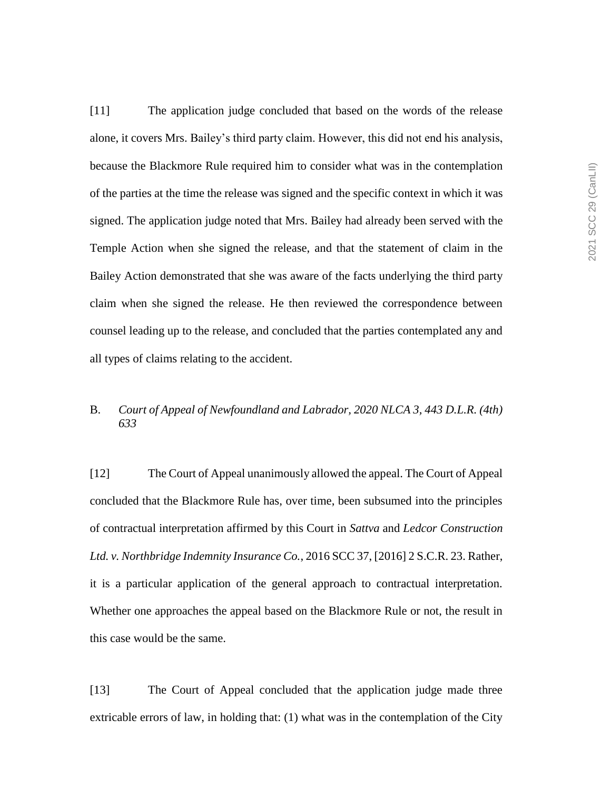[11] The application judge concluded that based on the words of the release alone, it covers Mrs. Bailey's third party claim. However, this did not end his analysis, because the Blackmore Rule required him to consider what was in the contemplation of the parties at the time the release was signed and the specific context in which it was signed. The application judge noted that Mrs. Bailey had already been served with the Temple Action when she signed the release, and that the statement of claim in the Bailey Action demonstrated that she was aware of the facts underlying the third party claim when she signed the release. He then reviewed the correspondence between counsel leading up to the release, and concluded that the parties contemplated any and all types of claims relating to the accident.

# B. *Court of Appeal of Newfoundland and Labrador, 2020 NLCA 3, 443 D.L.R. (4th) 633*

[12] The Court of Appeal unanimously allowed the appeal. The Court of Appeal concluded that the Blackmore Rule has, over time, been subsumed into the principles of contractual interpretation affirmed by this Court in *Sattva* and *Ledcor Construction Ltd. v. Northbridge Indemnity Insurance Co.*, 2016 SCC 37, [2016] 2 S.C.R. 23. Rather, it is a particular application of the general approach to contractual interpretation. Whether one approaches the appeal based on the Blackmore Rule or not, the result in this case would be the same.

[13] The Court of Appeal concluded that the application judge made three extricable errors of law, in holding that: (1) what was in the contemplation of the City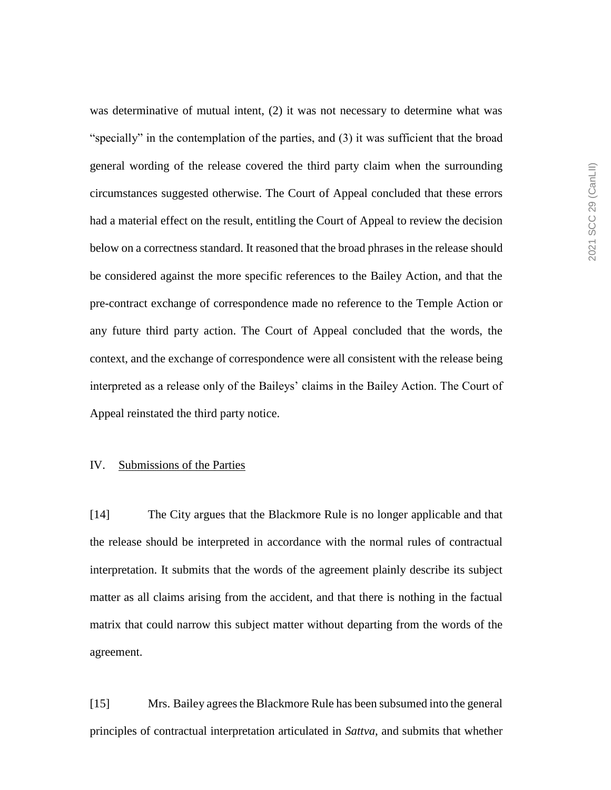was determinative of mutual intent, (2) it was not necessary to determine what was "specially" in the contemplation of the parties, and (3) it was sufficient that the broad general wording of the release covered the third party claim when the surrounding circumstances suggested otherwise. The Court of Appeal concluded that these errors had a material effect on the result, entitling the Court of Appeal to review the decision below on a correctness standard. It reasoned that the broad phrases in the release should be considered against the more specific references to the Bailey Action, and that the pre-contract exchange of correspondence made no reference to the Temple Action or any future third party action. The Court of Appeal concluded that the words, the context, and the exchange of correspondence were all consistent with the release being interpreted as a release only of the Baileys' claims in the Bailey Action. The Court of Appeal reinstated the third party notice.

#### IV. Submissions of the Parties

[14] The City argues that the Blackmore Rule is no longer applicable and that the release should be interpreted in accordance with the normal rules of contractual interpretation. It submits that the words of the agreement plainly describe its subject matter as all claims arising from the accident, and that there is nothing in the factual matrix that could narrow this subject matter without departing from the words of the agreement.

[15] Mrs. Bailey agrees the Blackmore Rule has been subsumed into the general principles of contractual interpretation articulated in *Sattva*, and submits that whether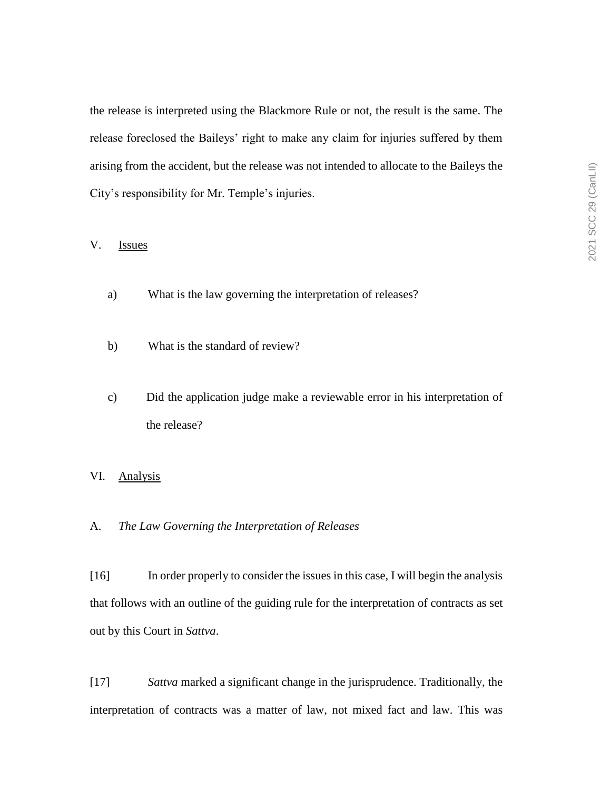the release is interpreted using the Blackmore Rule or not, the result is the same. The release foreclosed the Baileys' right to make any claim for injuries suffered by them arising from the accident, but the release was not intended to allocate to the Baileys the City's responsibility for Mr. Temple's injuries.

## V. Issues

- a) What is the law governing the interpretation of releases?
- b) What is the standard of review?
- c) Did the application judge make a reviewable error in his interpretation of the release?
- VI. Analysis
- A. *The Law Governing the Interpretation of Releases*

[16] In order properly to consider the issues in this case, I will begin the analysis that follows with an outline of the guiding rule for the interpretation of contracts as set out by this Court in *Sattva*.

[17] *Sattva* marked a significant change in the jurisprudence. Traditionally, the interpretation of contracts was a matter of law, not mixed fact and law. This was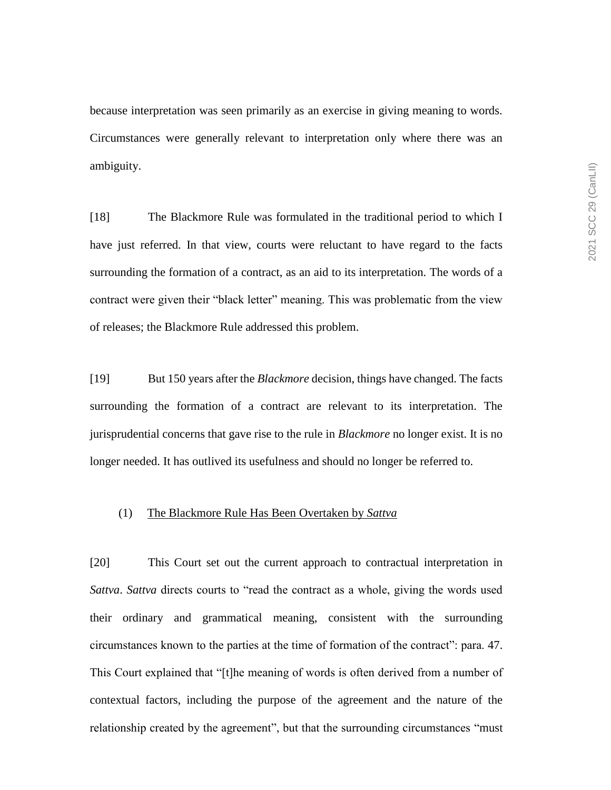because interpretation was seen primarily as an exercise in giving meaning to words. Circumstances were generally relevant to interpretation only where there was an ambiguity.

[18] The Blackmore Rule was formulated in the traditional period to which I have just referred. In that view, courts were reluctant to have regard to the facts surrounding the formation of a contract, as an aid to its interpretation. The words of a contract were given their "black letter" meaning. This was problematic from the view of releases; the Blackmore Rule addressed this problem.

[19] But 150 years after the *Blackmore* decision, things have changed. The facts surrounding the formation of a contract are relevant to its interpretation. The jurisprudential concerns that gave rise to the rule in *Blackmore* no longer exist. It is no longer needed. It has outlived its usefulness and should no longer be referred to.

#### (1) The Blackmore Rule Has Been Overtaken by *Sattva*

[20] This Court set out the current approach to contractual interpretation in *Sattva*. *Sattva* directs courts to "read the contract as a whole, giving the words used their ordinary and grammatical meaning, consistent with the surrounding circumstances known to the parties at the time of formation of the contract": para. 47. This Court explained that "[t]he meaning of words is often derived from a number of contextual factors, including the purpose of the agreement and the nature of the relationship created by the agreement", but that the surrounding circumstances "must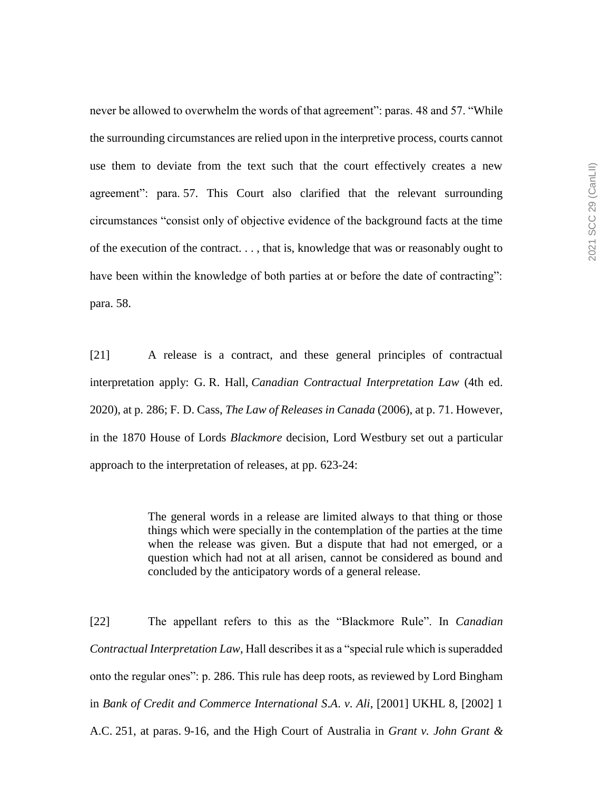never be allowed to overwhelm the words of that agreement": paras. 48 and 57. "While the surrounding circumstances are relied upon in the interpretive process, courts cannot use them to deviate from the text such that the court effectively creates a new agreement": para. 57. This Court also clarified that the relevant surrounding circumstances "consist only of objective evidence of the background facts at the time of the execution of the contract. . . , that is, knowledge that was or reasonably ought to have been within the knowledge of both parties at or before the date of contracting": para. 58.

[21] A release is a contract, and these general principles of contractual interpretation apply: G. R. Hall, *Canadian Contractual Interpretation Law* (4th ed. 2020), at p. 286; F. D. Cass, *The Law of Releases in Canada* (2006), at p. 71. However, in the 1870 House of Lords *Blackmore* decision, Lord Westbury set out a particular approach to the interpretation of releases, at pp. 623-24:

> The general words in a release are limited always to that thing or those things which were specially in the contemplation of the parties at the time when the release was given. But a dispute that had not emerged, or a question which had not at all arisen, cannot be considered as bound and concluded by the anticipatory words of a general release.

[22] The appellant refers to this as the "Blackmore Rule". In *Canadian Contractual Interpretation Law*, Hall describes it as a "special rule which is superadded onto the regular ones": p. 286. This rule has deep roots, as reviewed by Lord Bingham in *Bank of Credit and Commerce International S*.*A*. *v*. *Ali*, [2001] UKHL 8, [2002] 1 A.C. 251, at paras. 9-16, and the High Court of Australia in *Grant v. John Grant &*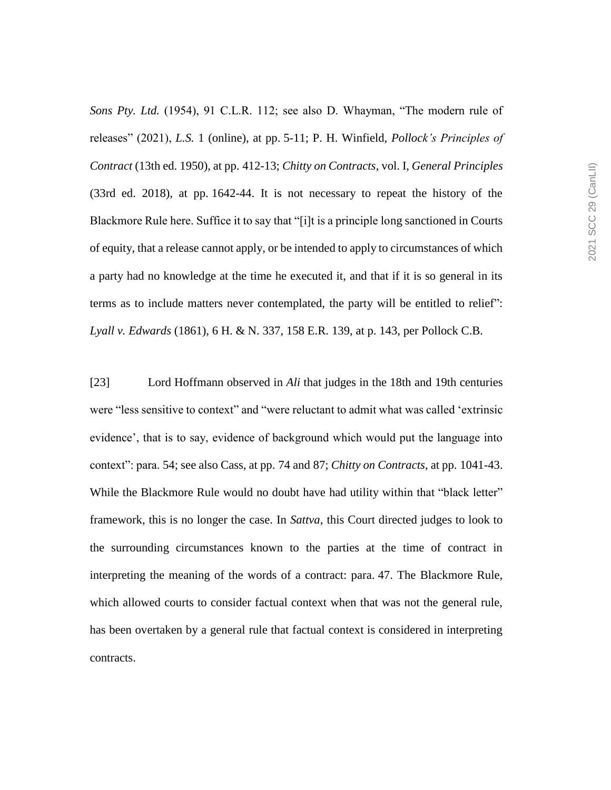*Sons Pty. Ltd.* (1954), 91 C.L.R. 112; see also D. Whayman, "The modern rule of releases" (2021), *L.S.* 1 (online), at pp. 5-11; P. H. Winfield, *Pollock's Principles of Contract* (13th ed. 1950), at pp. 412-13; *Chitty on Contracts*, vol. I, *General Principles* (33rd ed. 2018), at pp. 1642-44. It is not necessary to repeat the history of the Blackmore Rule here. Suffice it to say that "[i]t is a principle long sanctioned in Courts of equity, that a release cannot apply, or be intended to apply to circumstances of which a party had no knowledge at the time he executed it, and that if it is so general in its terms as to include matters never contemplated, the party will be entitled to relief": *Lyall v. Edwards* (1861), 6 H. & N. 337, 158 E.R. 139, at p. 143, per Pollock C.B.

[23] Lord Hoffmann observed in *Ali* that judges in the 18th and 19th centuries were "less sensitive to context" and "were reluctant to admit what was called 'extrinsic evidence', that is to say, evidence of background which would put the language into context": para. 54; see also Cass, at pp. 74 and 87; *Chitty on Contracts*, at pp. 1041-43. While the Blackmore Rule would no doubt have had utility within that "black letter" framework, this is no longer the case. In *Sattva*, this Court directed judges to look to the surrounding circumstances known to the parties at the time of contract in interpreting the meaning of the words of a contract: para. 47. The Blackmore Rule, which allowed courts to consider factual context when that was not the general rule, has been overtaken by a general rule that factual context is considered in interpreting contracts.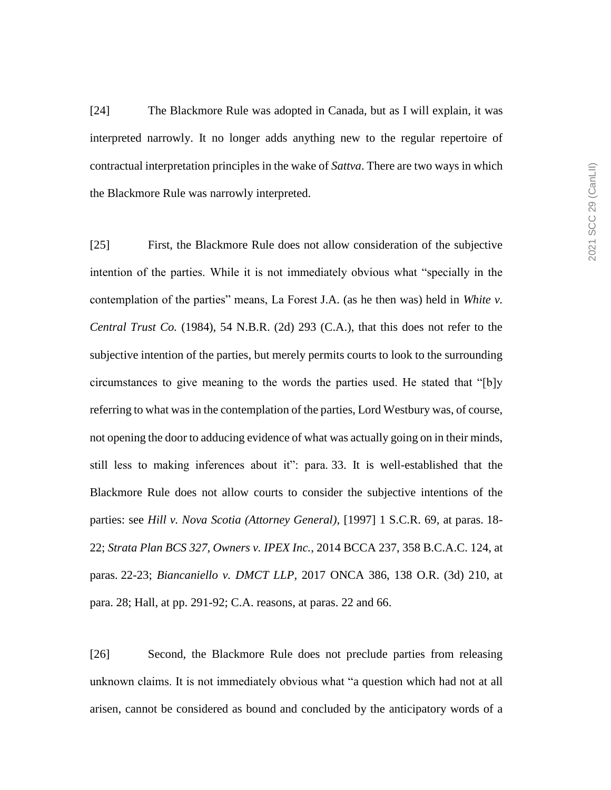[24] The Blackmore Rule was adopted in Canada, but as I will explain, it was interpreted narrowly. It no longer adds anything new to the regular repertoire of contractual interpretation principles in the wake of *Sattva*. There are two ways in which the Blackmore Rule was narrowly interpreted.

[25] First, the Blackmore Rule does not allow consideration of the subjective intention of the parties. While it is not immediately obvious what "specially in the contemplation of the parties" means, La Forest J.A. (as he then was) held in *White v. Central Trust Co.* (1984), 54 N.B.R. (2d) 293 (C.A.), that this does not refer to the subjective intention of the parties, but merely permits courts to look to the surrounding circumstances to give meaning to the words the parties used. He stated that "[b]y referring to what was in the contemplation of the parties, Lord Westbury was, of course, not opening the door to adducing evidence of what was actually going on in their minds, still less to making inferences about it": para. 33. It is well-established that the Blackmore Rule does not allow courts to consider the subjective intentions of the parties: see *Hill v. Nova Scotia (Attorney General)*, [1997] 1 S.C.R. 69, at paras. 18- 22; *Strata Plan BCS 327, Owners v. IPEX Inc.*, 2014 BCCA 237, 358 B.C.A.C. 124, at paras. 22-23; *Biancaniello v. DMCT LLP*, 2017 ONCA 386, 138 O.R. (3d) 210, at para. 28; Hall, at pp. 291-92; C.A. reasons, at paras. 22 and 66.

[26] Second, the Blackmore Rule does not preclude parties from releasing unknown claims. It is not immediately obvious what "a question which had not at all arisen, cannot be considered as bound and concluded by the anticipatory words of a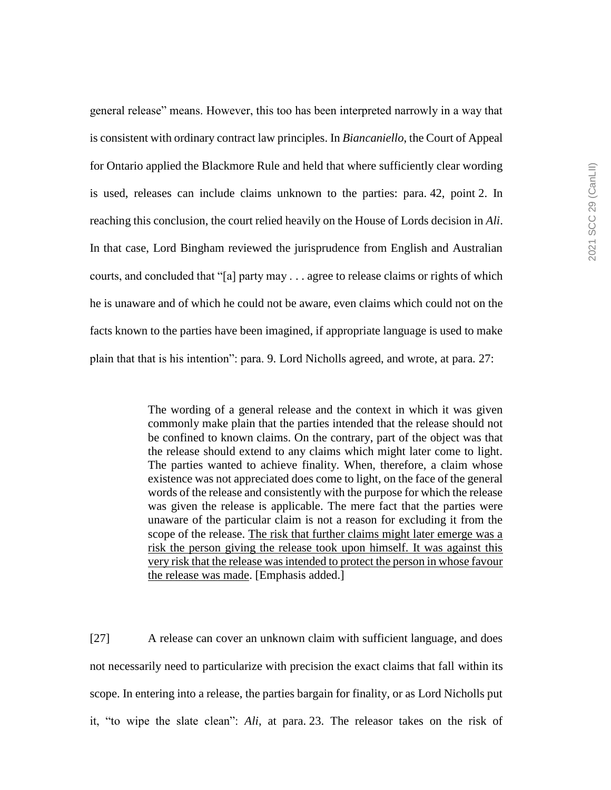general release" means. However, this too has been interpreted narrowly in a way that is consistent with ordinary contract law principles. In *Biancaniello*, the Court of Appeal for Ontario applied the Blackmore Rule and held that where sufficiently clear wording is used, releases can include claims unknown to the parties: para. 42, point 2. In reaching this conclusion, the court relied heavily on the House of Lords decision in *Ali*. In that case, Lord Bingham reviewed the jurisprudence from English and Australian courts, and concluded that "[a] party may . . . agree to release claims or rights of which he is unaware and of which he could not be aware, even claims which could not on the facts known to the parties have been imagined, if appropriate language is used to make plain that that is his intention": para. 9. Lord Nicholls agreed, and wrote, at para. 27:

> The wording of a general release and the context in which it was given commonly make plain that the parties intended that the release should not be confined to known claims. On the contrary, part of the object was that the release should extend to any claims which might later come to light. The parties wanted to achieve finality. When, therefore, a claim whose existence was not appreciated does come to light, on the face of the general words of the release and consistently with the purpose for which the release was given the release is applicable. The mere fact that the parties were unaware of the particular claim is not a reason for excluding it from the scope of the release. The risk that further claims might later emerge was a risk the person giving the release took upon himself. It was against this very risk that the release was intended to protect the person in whose favour the release was made. [Emphasis added.]

[27] A release can cover an unknown claim with sufficient language, and does not necessarily need to particularize with precision the exact claims that fall within its scope. In entering into a release, the parties bargain for finality, or as Lord Nicholls put it, "to wipe the slate clean": *Ali*, at para. 23. The releasor takes on the risk of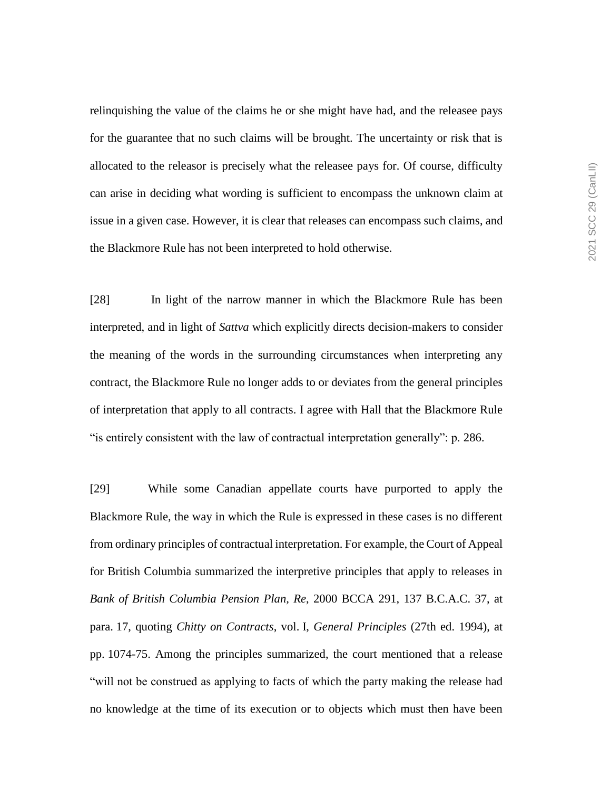relinquishing the value of the claims he or she might have had, and the releasee pays for the guarantee that no such claims will be brought. The uncertainty or risk that is allocated to the releasor is precisely what the releasee pays for. Of course, difficulty can arise in deciding what wording is sufficient to encompass the unknown claim at issue in a given case. However, it is clear that releases can encompass such claims, and the Blackmore Rule has not been interpreted to hold otherwise.

[28] In light of the narrow manner in which the Blackmore Rule has been interpreted, and in light of *Sattva* which explicitly directs decision-makers to consider the meaning of the words in the surrounding circumstances when interpreting any contract, the Blackmore Rule no longer adds to or deviates from the general principles of interpretation that apply to all contracts. I agree with Hall that the Blackmore Rule "is entirely consistent with the law of contractual interpretation generally": p. 286.

[29] While some Canadian appellate courts have purported to apply the Blackmore Rule, the way in which the Rule is expressed in these cases is no different from ordinary principles of contractual interpretation. For example, the Court of Appeal for British Columbia summarized the interpretive principles that apply to releases in *Bank of British Columbia Pension Plan, Re*, 2000 BCCA 291, 137 B.C.A.C. 37, at para. 17, quoting *Chitty on Contracts*, vol. I, *General Principles* (27th ed. 1994), at pp. 1074-75. Among the principles summarized, the court mentioned that a release "will not be construed as applying to facts of which the party making the release had no knowledge at the time of its execution or to objects which must then have been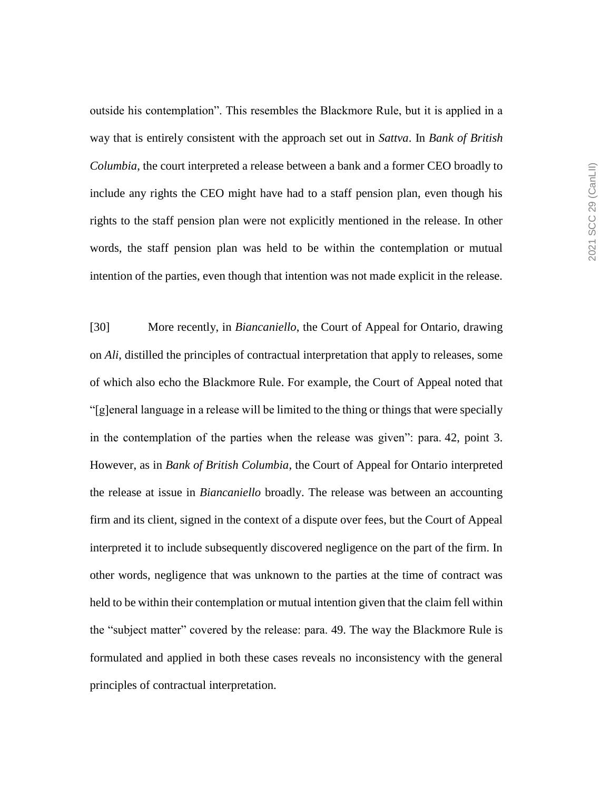outside his contemplation". This resembles the Blackmore Rule, but it is applied in a way that is entirely consistent with the approach set out in *Sattva*. In *Bank of British Columbia*, the court interpreted a release between a bank and a former CEO broadly to include any rights the CEO might have had to a staff pension plan, even though his rights to the staff pension plan were not explicitly mentioned in the release. In other words, the staff pension plan was held to be within the contemplation or mutual intention of the parties, even though that intention was not made explicit in the release.

[30] More recently, in *Biancaniello*, the Court of Appeal for Ontario, drawing on *Ali*, distilled the principles of contractual interpretation that apply to releases, some of which also echo the Blackmore Rule. For example, the Court of Appeal noted that "[g]eneral language in a release will be limited to the thing or things that were specially in the contemplation of the parties when the release was given": para. 42, point 3. However, as in *Bank of British Columbia*, the Court of Appeal for Ontario interpreted the release at issue in *Biancaniello* broadly. The release was between an accounting firm and its client, signed in the context of a dispute over fees, but the Court of Appeal interpreted it to include subsequently discovered negligence on the part of the firm. In other words, negligence that was unknown to the parties at the time of contract was held to be within their contemplation or mutual intention given that the claim fell within the "subject matter" covered by the release: para. 49. The way the Blackmore Rule is formulated and applied in both these cases reveals no inconsistency with the general principles of contractual interpretation.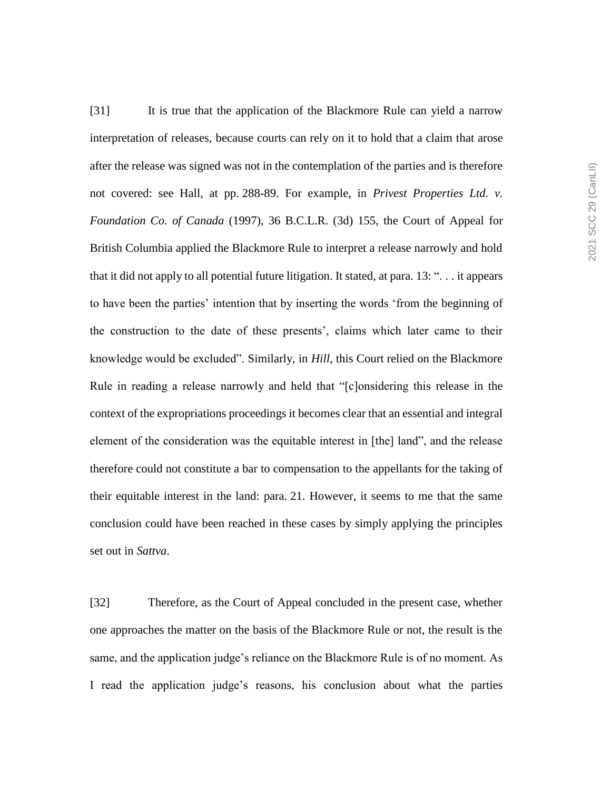[31] It is true that the application of the Blackmore Rule can yield a narrow interpretation of releases, because courts can rely on it to hold that a claim that arose after the release was signed was not in the contemplation of the parties and is therefore not covered: see Hall, at pp. 288-89. For example, in *Privest Properties Ltd. v. Foundation Co. of Canada* (1997), 36 B.C.L.R. (3d) 155, the Court of Appeal for British Columbia applied the Blackmore Rule to interpret a release narrowly and hold that it did not apply to all potential future litigation. It stated, at para. 13: ". . . it appears to have been the parties' intention that by inserting the words 'from the beginning of the construction to the date of these presents', claims which later came to their knowledge would be excluded". Similarly, in *Hill*, this Court relied on the Blackmore Rule in reading a release narrowly and held that "[c]onsidering this release in the context of the expropriations proceedings it becomes clear that an essential and integral element of the consideration was the equitable interest in [the] land", and the release therefore could not constitute a bar to compensation to the appellants for the taking of their equitable interest in the land: para. 21. However, it seems to me that the same conclusion could have been reached in these cases by simply applying the principles set out in *Sattva*.

[32] Therefore, as the Court of Appeal concluded in the present case, whether one approaches the matter on the basis of the Blackmore Rule or not, the result is the same, and the application judge's reliance on the Blackmore Rule is of no moment. As I read the application judge's reasons, his conclusion about what the parties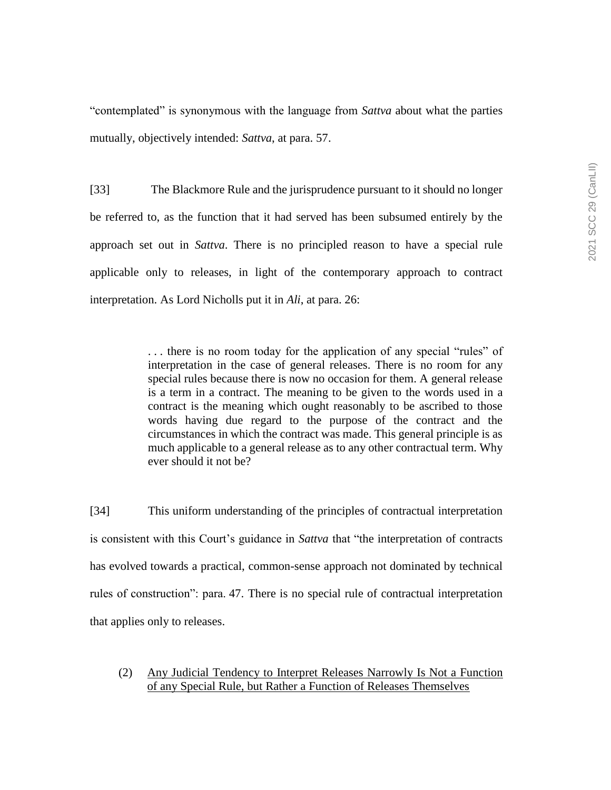"contemplated" is synonymous with the language from *Sattva* about what the parties mutually, objectively intended: *Sattva*, at para. 57.

[33] The Blackmore Rule and the jurisprudence pursuant to it should no longer be referred to, as the function that it had served has been subsumed entirely by the approach set out in *Sattva*. There is no principled reason to have a special rule applicable only to releases, in light of the contemporary approach to contract interpretation. As Lord Nicholls put it in *Ali*, at para. 26:

> . . . there is no room today for the application of any special "rules" of interpretation in the case of general releases. There is no room for any special rules because there is now no occasion for them. A general release is a term in a contract. The meaning to be given to the words used in a contract is the meaning which ought reasonably to be ascribed to those words having due regard to the purpose of the contract and the circumstances in which the contract was made. This general principle is as much applicable to a general release as to any other contractual term. Why ever should it not be?

[34] This uniform understanding of the principles of contractual interpretation is consistent with this Court's guidance in *Sattva* that "the interpretation of contracts has evolved towards a practical, common-sense approach not dominated by technical rules of construction": para. 47. There is no special rule of contractual interpretation that applies only to releases.

(2) Any Judicial Tendency to Interpret Releases Narrowly Is Not a Function of any Special Rule, but Rather a Function of Releases Themselves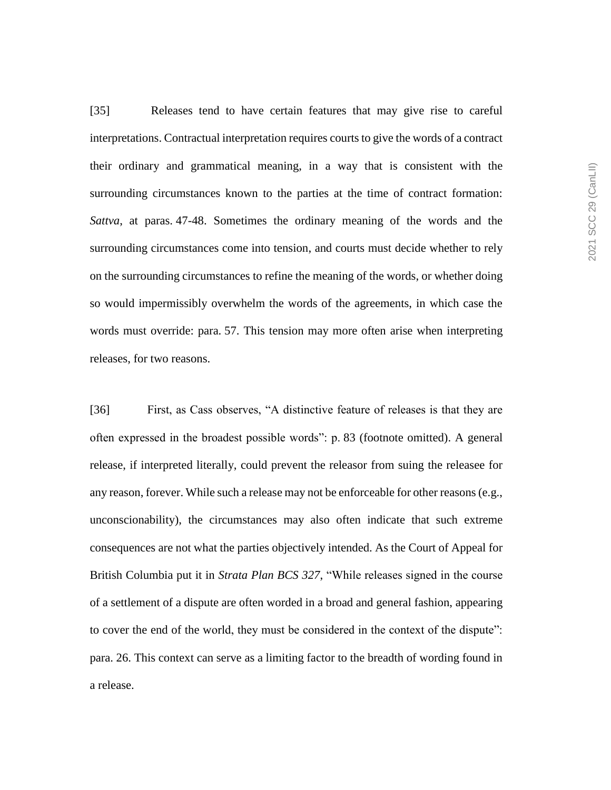[35] Releases tend to have certain features that may give rise to careful interpretations. Contractual interpretation requires courts to give the words of a contract their ordinary and grammatical meaning, in a way that is consistent with the surrounding circumstances known to the parties at the time of contract formation: *Sattva*, at paras. 47-48. Sometimes the ordinary meaning of the words and the surrounding circumstances come into tension, and courts must decide whether to rely on the surrounding circumstances to refine the meaning of the words, or whether doing so would impermissibly overwhelm the words of the agreements, in which case the words must override: para. 57. This tension may more often arise when interpreting releases, for two reasons.

[36] First, as Cass observes, "A distinctive feature of releases is that they are often expressed in the broadest possible words": p. 83 (footnote omitted). A general release, if interpreted literally, could prevent the releasor from suing the releasee for any reason, forever. While such a release may not be enforceable for other reasons (e.g., unconscionability), the circumstances may also often indicate that such extreme consequences are not what the parties objectively intended. As the Court of Appeal for British Columbia put it in *Strata Plan BCS 327*, "While releases signed in the course of a settlement of a dispute are often worded in a broad and general fashion, appearing to cover the end of the world, they must be considered in the context of the dispute": para. 26. This context can serve as a limiting factor to the breadth of wording found in a release.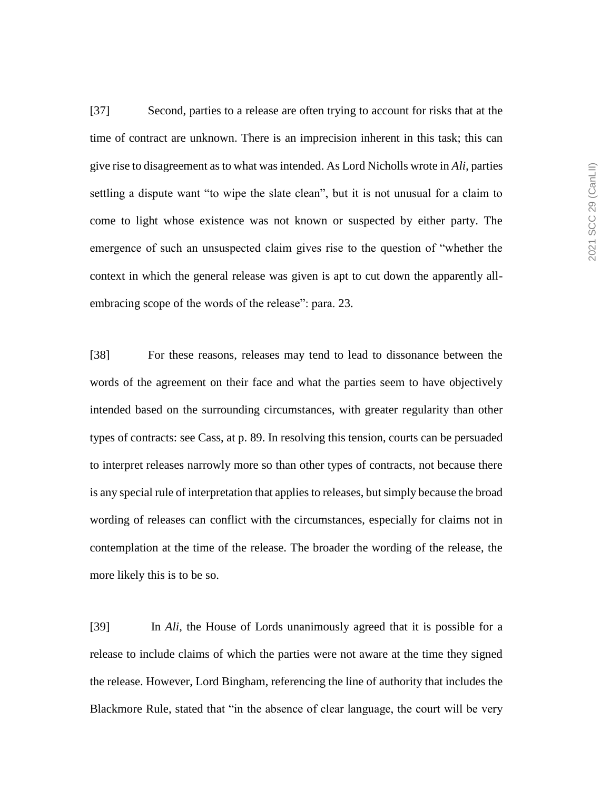[37] Second, parties to a release are often trying to account for risks that at the time of contract are unknown. There is an imprecision inherent in this task; this can give rise to disagreement as to what was intended. As Lord Nicholls wrote in *Ali*, parties settling a dispute want "to wipe the slate clean", but it is not unusual for a claim to come to light whose existence was not known or suspected by either party. The emergence of such an unsuspected claim gives rise to the question of "whether the context in which the general release was given is apt to cut down the apparently allembracing scope of the words of the release": para. 23.

[38] For these reasons, releases may tend to lead to dissonance between the words of the agreement on their face and what the parties seem to have objectively intended based on the surrounding circumstances, with greater regularity than other types of contracts: see Cass, at p. 89. In resolving this tension, courts can be persuaded to interpret releases narrowly more so than other types of contracts, not because there is any special rule of interpretation that applies to releases, but simply because the broad wording of releases can conflict with the circumstances, especially for claims not in contemplation at the time of the release. The broader the wording of the release, the more likely this is to be so.

[39] In *Ali*, the House of Lords unanimously agreed that it is possible for a release to include claims of which the parties were not aware at the time they signed the release. However, Lord Bingham, referencing the line of authority that includes the Blackmore Rule, stated that "in the absence of clear language, the court will be very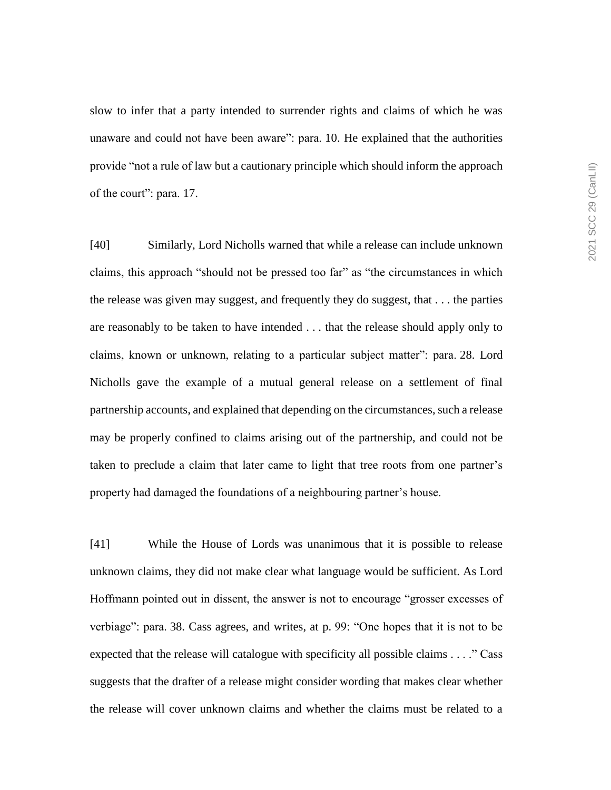slow to infer that a party intended to surrender rights and claims of which he was unaware and could not have been aware": para. 10. He explained that the authorities provide "not a rule of law but a cautionary principle which should inform the approach of the court": para. 17.

[40] Similarly, Lord Nicholls warned that while a release can include unknown claims, this approach "should not be pressed too far" as "the circumstances in which the release was given may suggest, and frequently they do suggest, that . . . the parties are reasonably to be taken to have intended . . . that the release should apply only to claims, known or unknown, relating to a particular subject matter": para. 28. Lord Nicholls gave the example of a mutual general release on a settlement of final partnership accounts, and explained that depending on the circumstances, such a release may be properly confined to claims arising out of the partnership, and could not be taken to preclude a claim that later came to light that tree roots from one partner's property had damaged the foundations of a neighbouring partner's house.

[41] While the House of Lords was unanimous that it is possible to release unknown claims, they did not make clear what language would be sufficient. As Lord Hoffmann pointed out in dissent, the answer is not to encourage "grosser excesses of verbiage": para. 38. Cass agrees, and writes, at p. 99: "One hopes that it is not to be expected that the release will catalogue with specificity all possible claims . . . ." Cass suggests that the drafter of a release might consider wording that makes clear whether the release will cover unknown claims and whether the claims must be related to a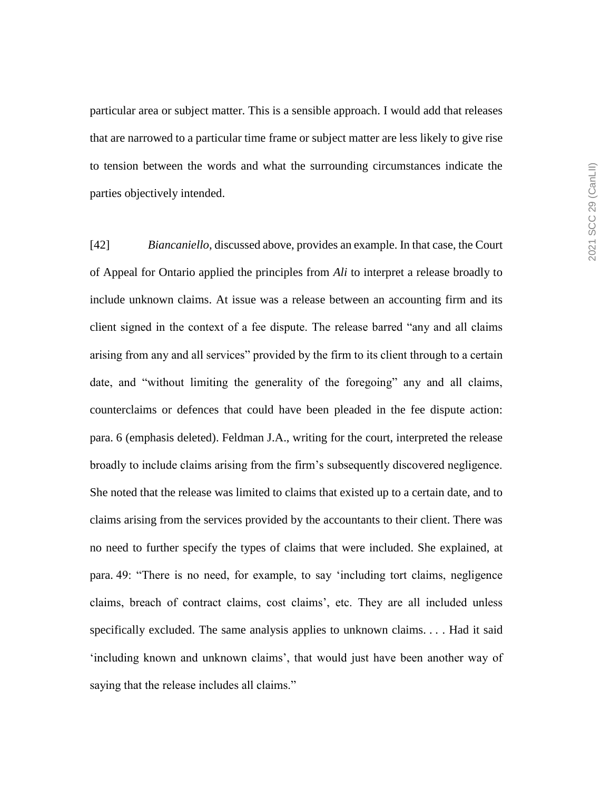particular area or subject matter. This is a sensible approach. I would add that releases that are narrowed to a particular time frame or subject matter are less likely to give rise to tension between the words and what the surrounding circumstances indicate the parties objectively intended.

[42] *Biancaniello*, discussed above, provides an example. In that case, the Court of Appeal for Ontario applied the principles from *Ali* to interpret a release broadly to include unknown claims. At issue was a release between an accounting firm and its client signed in the context of a fee dispute. The release barred "any and all claims arising from any and all services" provided by the firm to its client through to a certain date, and "without limiting the generality of the foregoing" any and all claims, counterclaims or defences that could have been pleaded in the fee dispute action: para. 6 (emphasis deleted). Feldman J.A., writing for the court, interpreted the release broadly to include claims arising from the firm's subsequently discovered negligence. She noted that the release was limited to claims that existed up to a certain date, and to claims arising from the services provided by the accountants to their client. There was no need to further specify the types of claims that were included. She explained, at para. 49: "There is no need, for example, to say 'including tort claims, negligence claims, breach of contract claims, cost claims', etc. They are all included unless specifically excluded. The same analysis applies to unknown claims. . . . Had it said 'including known and unknown claims', that would just have been another way of saying that the release includes all claims."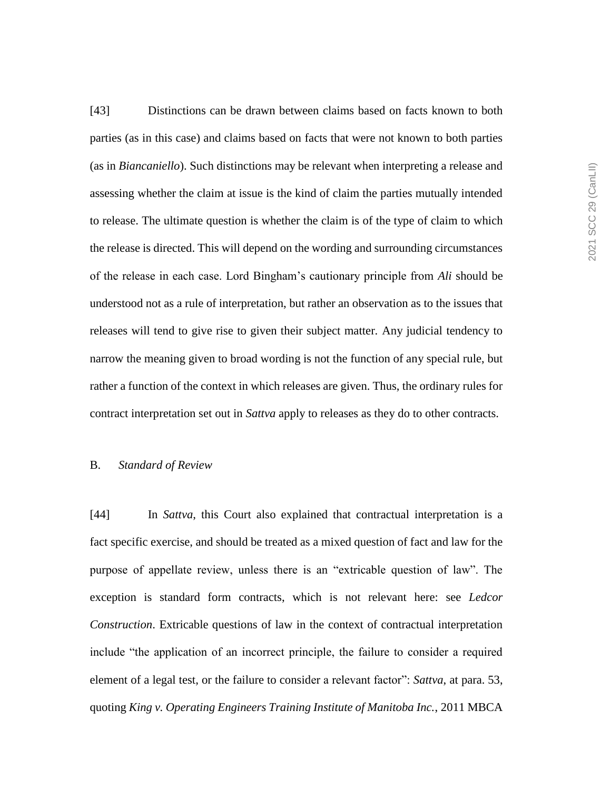[43] Distinctions can be drawn between claims based on facts known to both parties (as in this case) and claims based on facts that were not known to both parties (as in *Biancaniello*). Such distinctions may be relevant when interpreting a release and assessing whether the claim at issue is the kind of claim the parties mutually intended to release. The ultimate question is whether the claim is of the type of claim to which the release is directed. This will depend on the wording and surrounding circumstances of the release in each case. Lord Bingham's cautionary principle from *Ali* should be understood not as a rule of interpretation, but rather an observation as to the issues that releases will tend to give rise to given their subject matter. Any judicial tendency to narrow the meaning given to broad wording is not the function of any special rule, but rather a function of the context in which releases are given. Thus, the ordinary rules for contract interpretation set out in *Sattva* apply to releases as they do to other contracts.

#### B. *Standard of Review*

[44] In *Sattva*, this Court also explained that contractual interpretation is a fact specific exercise, and should be treated as a mixed question of fact and law for the purpose of appellate review, unless there is an "extricable question of law". The exception is standard form contracts, which is not relevant here: see *Ledcor Construction*. Extricable questions of law in the context of contractual interpretation include "the application of an incorrect principle, the failure to consider a required element of a legal test, or the failure to consider a relevant factor": *Sattva*, at para. 53, quoting *King v. Operating Engineers Training Institute of Manitoba Inc.*, 2011 MBCA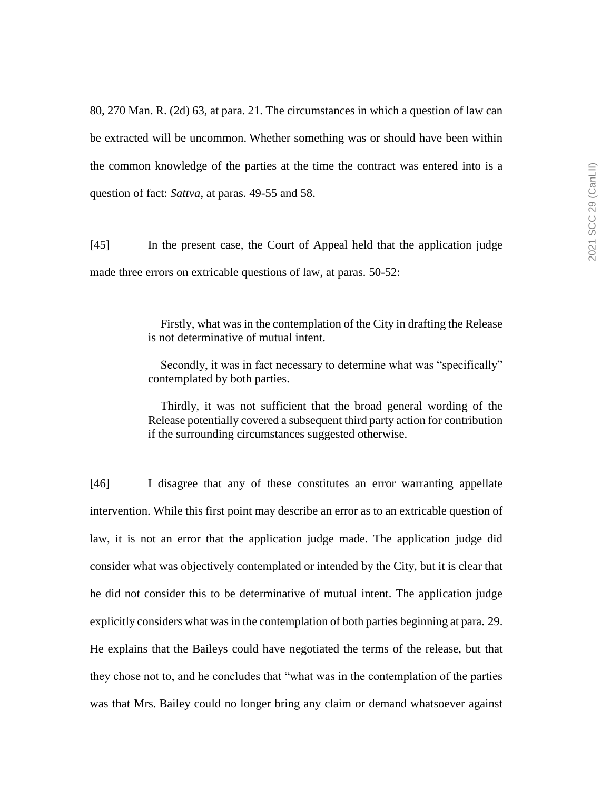80, 270 Man. R. (2d) 63, at para. 21. The circumstances in which a question of law can be extracted will be uncommon. Whether something was or should have been within the common knowledge of the parties at the time the contract was entered into is a question of fact: *Sattva*, at paras. 49-55 and 58.

[45] In the present case, the Court of Appeal held that the application judge made three errors on extricable questions of law, at paras. 50-52:

> Firstly, what was in the contemplation of the City in drafting the Release is not determinative of mutual intent.

> Secondly, it was in fact necessary to determine what was "specifically" contemplated by both parties.

> Thirdly, it was not sufficient that the broad general wording of the Release potentially covered a subsequent third party action for contribution if the surrounding circumstances suggested otherwise.

[46] I disagree that any of these constitutes an error warranting appellate intervention. While this first point may describe an error as to an extricable question of law, it is not an error that the application judge made. The application judge did consider what was objectively contemplated or intended by the City, but it is clear that he did not consider this to be determinative of mutual intent. The application judge explicitly considers what was in the contemplation of both parties beginning at para. 29. He explains that the Baileys could have negotiated the terms of the release, but that they chose not to, and he concludes that "what was in the contemplation of the parties was that Mrs. Bailey could no longer bring any claim or demand whatsoever against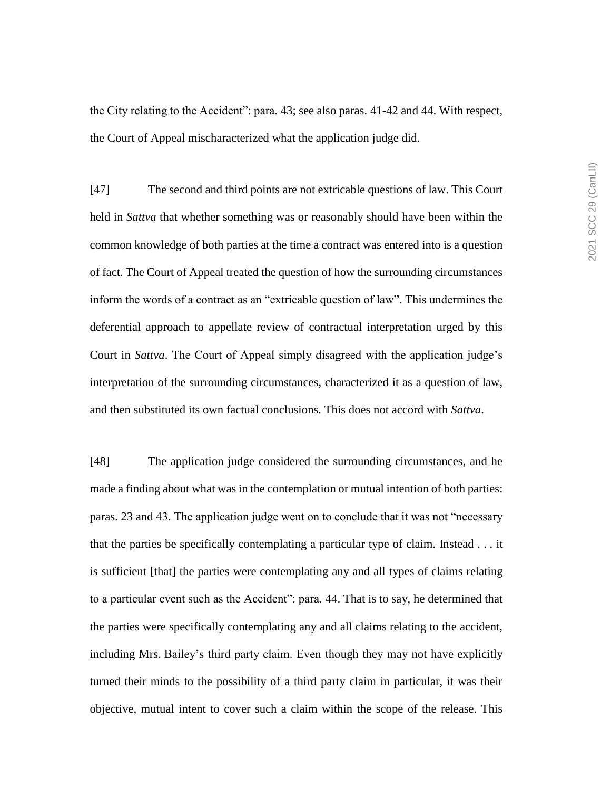the City relating to the Accident": para. 43; see also paras. 41-42 and 44. With respect, the Court of Appeal mischaracterized what the application judge did.

[47] The second and third points are not extricable questions of law. This Court held in *Sattva* that whether something was or reasonably should have been within the common knowledge of both parties at the time a contract was entered into is a question of fact. The Court of Appeal treated the question of how the surrounding circumstances inform the words of a contract as an "extricable question of law". This undermines the deferential approach to appellate review of contractual interpretation urged by this Court in *Sattva*. The Court of Appeal simply disagreed with the application judge's interpretation of the surrounding circumstances, characterized it as a question of law, and then substituted its own factual conclusions. This does not accord with *Sattva*.

[48] The application judge considered the surrounding circumstances, and he made a finding about what was in the contemplation or mutual intention of both parties: paras. 23 and 43. The application judge went on to conclude that it was not "necessary that the parties be specifically contemplating a particular type of claim. Instead . . . it is sufficient [that] the parties were contemplating any and all types of claims relating to a particular event such as the Accident": para. 44. That is to say, he determined that the parties were specifically contemplating any and all claims relating to the accident, including Mrs. Bailey's third party claim. Even though they may not have explicitly turned their minds to the possibility of a third party claim in particular, it was their objective, mutual intent to cover such a claim within the scope of the release. This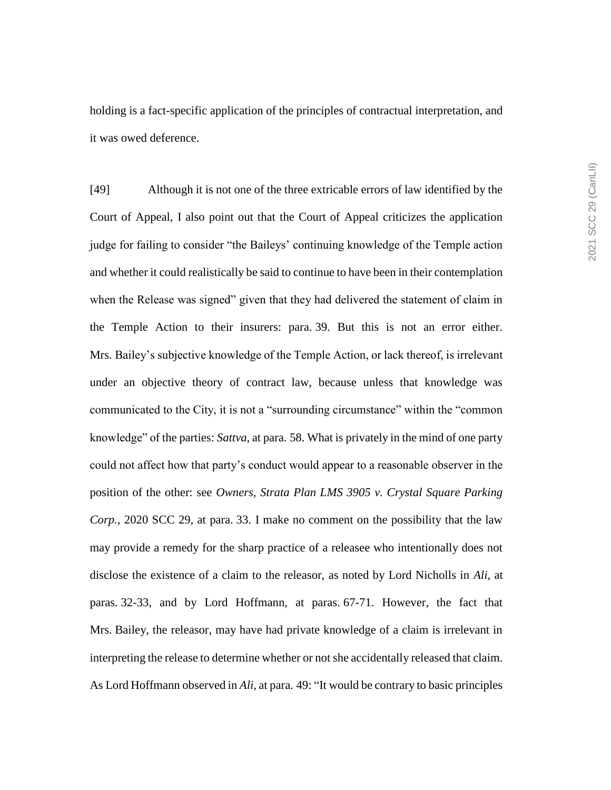holding is a fact-specific application of the principles of contractual interpretation, and it was owed deference.

[49] Although it is not one of the three extricable errors of law identified by the Court of Appeal, I also point out that the Court of Appeal criticizes the application judge for failing to consider "the Baileys' continuing knowledge of the Temple action and whether it could realistically be said to continue to have been in their contemplation when the Release was signed" given that they had delivered the statement of claim in the Temple Action to their insurers: para. 39. But this is not an error either. Mrs. Bailey's subjective knowledge of the Temple Action, or lack thereof, is irrelevant under an objective theory of contract law, because unless that knowledge was communicated to the City, it is not a "surrounding circumstance" within the "common knowledge" of the parties: *Sattva*, at para. 58. What is privately in the mind of one party could not affect how that party's conduct would appear to a reasonable observer in the position of the other: see *Owners, Strata Plan LMS 3905 v. Crystal Square Parking Corp.*, 2020 SCC 29, at para. 33. I make no comment on the possibility that the law may provide a remedy for the sharp practice of a releasee who intentionally does not disclose the existence of a claim to the releasor, as noted by Lord Nicholls in *Ali*, at paras. 32-33, and by Lord Hoffmann, at paras. 67-71. However, the fact that Mrs. Bailey, the releasor, may have had private knowledge of a claim is irrelevant in interpreting the release to determine whether or not she accidentally released that claim. As Lord Hoffmann observed in *Ali*, at para. 49: "It would be contrary to basic principles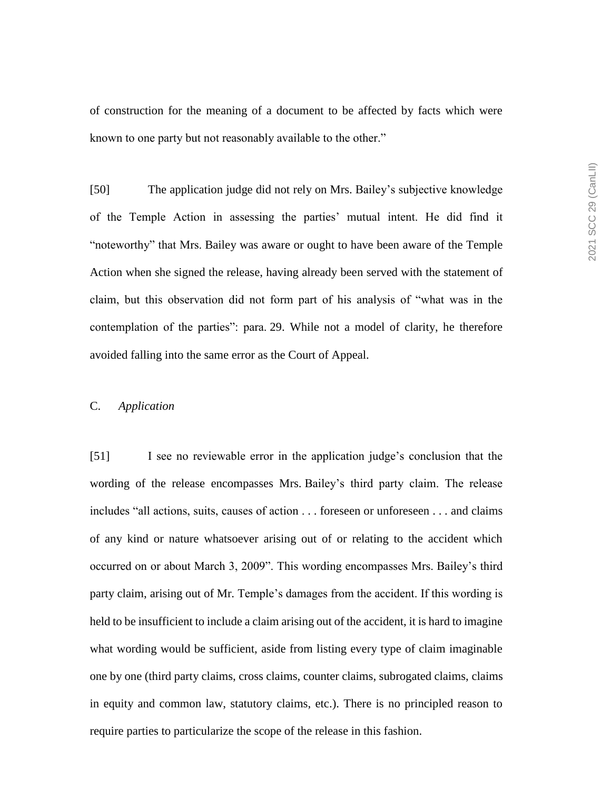of construction for the meaning of a document to be affected by facts which were known to one party but not reasonably available to the other."

[50] The application judge did not rely on Mrs. Bailey's subjective knowledge of the Temple Action in assessing the parties' mutual intent. He did find it "noteworthy" that Mrs. Bailey was aware or ought to have been aware of the Temple Action when she signed the release, having already been served with the statement of claim, but this observation did not form part of his analysis of "what was in the contemplation of the parties": para. 29. While not a model of clarity, he therefore avoided falling into the same error as the Court of Appeal.

### C. *Application*

[51] I see no reviewable error in the application judge's conclusion that the wording of the release encompasses Mrs. Bailey's third party claim. The release includes "all actions, suits, causes of action . . . foreseen or unforeseen . . . and claims of any kind or nature whatsoever arising out of or relating to the accident which occurred on or about March 3, 2009". This wording encompasses Mrs. Bailey's third party claim, arising out of Mr. Temple's damages from the accident. If this wording is held to be insufficient to include a claim arising out of the accident, it is hard to imagine what wording would be sufficient, aside from listing every type of claim imaginable one by one (third party claims, cross claims, counter claims, subrogated claims, claims in equity and common law, statutory claims, etc.). There is no principled reason to require parties to particularize the scope of the release in this fashion.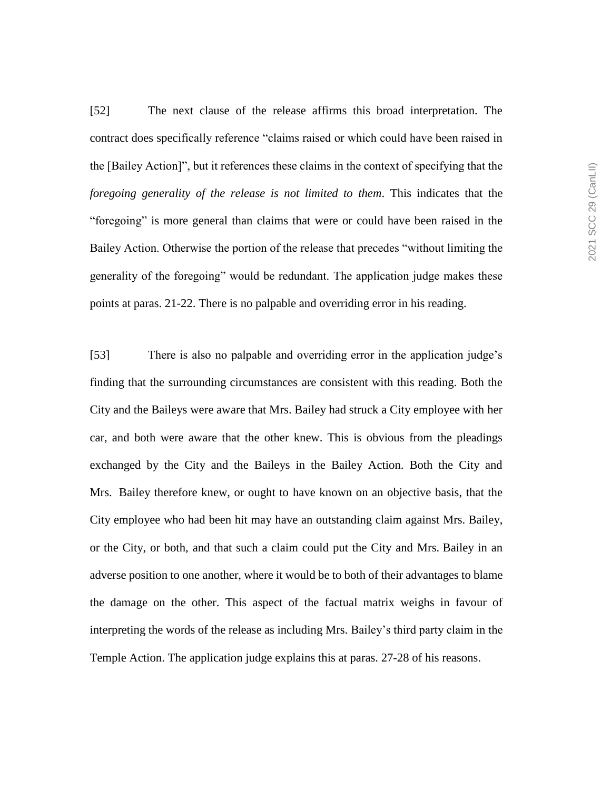[52] The next clause of the release affirms this broad interpretation. The contract does specifically reference "claims raised or which could have been raised in the [Bailey Action]", but it references these claims in the context of specifying that the *foregoing generality of the release is not limited to them*. This indicates that the "foregoing" is more general than claims that were or could have been raised in the Bailey Action. Otherwise the portion of the release that precedes "without limiting the generality of the foregoing" would be redundant. The application judge makes these points at paras. 21-22. There is no palpable and overriding error in his reading.

[53] There is also no palpable and overriding error in the application judge's finding that the surrounding circumstances are consistent with this reading. Both the City and the Baileys were aware that Mrs. Bailey had struck a City employee with her car, and both were aware that the other knew. This is obvious from the pleadings exchanged by the City and the Baileys in the Bailey Action. Both the City and Mrs. Bailey therefore knew, or ought to have known on an objective basis, that the City employee who had been hit may have an outstanding claim against Mrs. Bailey, or the City, or both, and that such a claim could put the City and Mrs. Bailey in an adverse position to one another, where it would be to both of their advantages to blame the damage on the other. This aspect of the factual matrix weighs in favour of interpreting the words of the release as including Mrs. Bailey's third party claim in the Temple Action. The application judge explains this at paras. 27-28 of his reasons.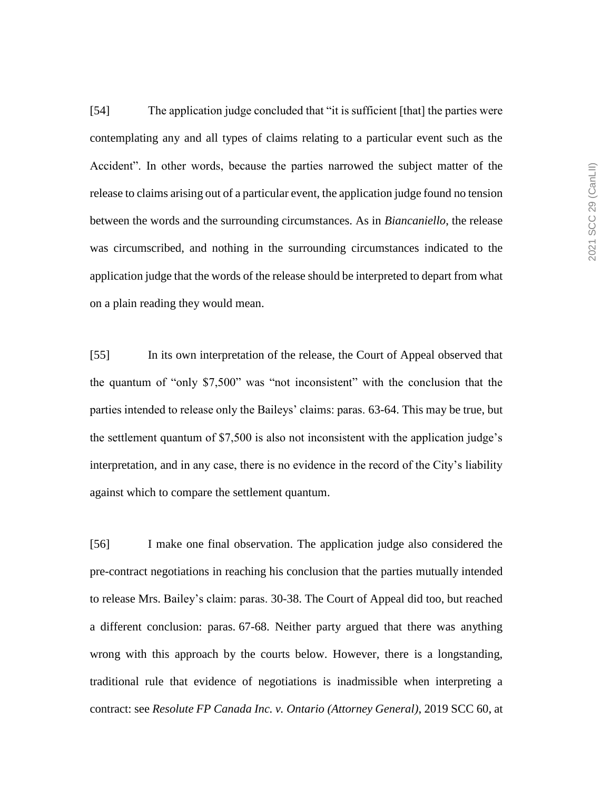[54] The application judge concluded that "it is sufficient [that] the parties were contemplating any and all types of claims relating to a particular event such as the Accident". In other words, because the parties narrowed the subject matter of the release to claims arising out of a particular event, the application judge found no tension between the words and the surrounding circumstances. As in *Biancaniello*, the release was circumscribed, and nothing in the surrounding circumstances indicated to the application judge that the words of the release should be interpreted to depart from what on a plain reading they would mean.

[55] In its own interpretation of the release, the Court of Appeal observed that the quantum of "only \$7,500" was "not inconsistent" with the conclusion that the parties intended to release only the Baileys' claims: paras. 63-64. This may be true, but the settlement quantum of \$7,500 is also not inconsistent with the application judge's interpretation, and in any case, there is no evidence in the record of the City's liability against which to compare the settlement quantum.

[56] I make one final observation. The application judge also considered the pre-contract negotiations in reaching his conclusion that the parties mutually intended to release Mrs. Bailey's claim: paras. 30-38. The Court of Appeal did too, but reached a different conclusion: paras. 67-68. Neither party argued that there was anything wrong with this approach by the courts below. However, there is a longstanding, traditional rule that evidence of negotiations is inadmissible when interpreting a contract: see *Resolute FP Canada Inc. v. Ontario (Attorney General)*, 2019 SCC 60, at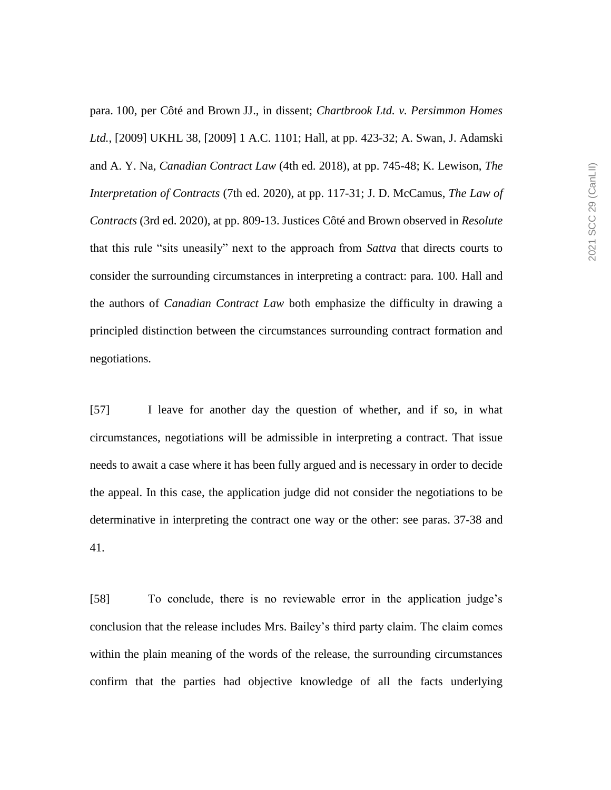para. 100, per Côté and Brown JJ., in dissent; *Chartbrook Ltd. v. Persimmon Homes Ltd.*, [2009] UKHL 38, [2009] 1 A.C. 1101; Hall, at pp. 423-32; A. Swan, J. Adamski and A. Y. Na, *Canadian Contract Law* (4th ed. 2018), at pp. 745-48; K. Lewison, *The Interpretation of Contracts* (7th ed. 2020), at pp. 117-31; J. D. McCamus, *The Law of Contracts* (3rd ed. 2020), at pp. 809-13. Justices Côté and Brown observed in *Resolute*  that this rule "sits uneasily" next to the approach from *Sattva* that directs courts to consider the surrounding circumstances in interpreting a contract: para. 100. Hall and the authors of *Canadian Contract Law* both emphasize the difficulty in drawing a principled distinction between the circumstances surrounding contract formation and negotiations.

[57] I leave for another day the question of whether, and if so, in what circumstances, negotiations will be admissible in interpreting a contract. That issue needs to await a case where it has been fully argued and is necessary in order to decide the appeal. In this case, the application judge did not consider the negotiations to be determinative in interpreting the contract one way or the other: see paras. 37-38 and 41.

[58] To conclude, there is no reviewable error in the application judge's conclusion that the release includes Mrs. Bailey's third party claim. The claim comes within the plain meaning of the words of the release, the surrounding circumstances confirm that the parties had objective knowledge of all the facts underlying